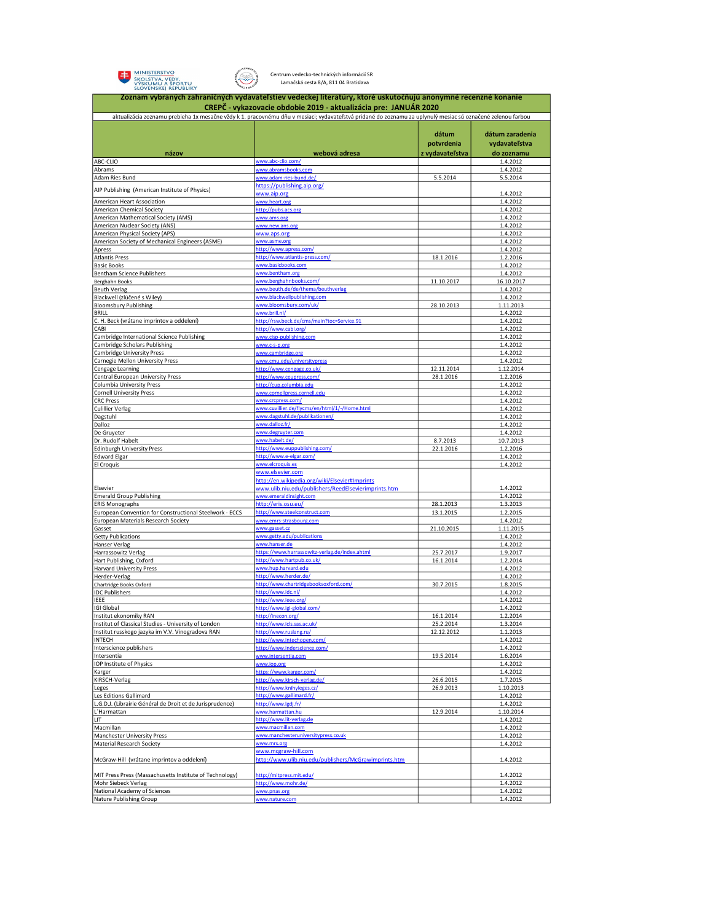



Centrum vedecko-technických informácií SR Lamačská cesta 8/A, 811 04 Bratislava

|                                                                                                | Zoznam vybraných zahraničných vydavateľstiev vedeckej literatúry, ktoré uskutočňujú anonymné recenzné konanie                                               |                        |                        |  |
|------------------------------------------------------------------------------------------------|-------------------------------------------------------------------------------------------------------------------------------------------------------------|------------------------|------------------------|--|
| CREPČ - vykazovacie obdobie 2019 - aktualizácia pre: JANUÁR 2020                               |                                                                                                                                                             |                        |                        |  |
|                                                                                                | aktualizácia zoznamu prebieha 1x mesačne vždy k 1. pracovnému dňu v mesiaci; vydavateľstvá pridané do zoznamu za uplynulý mesiac sú označené zelenou farbou |                        |                        |  |
|                                                                                                |                                                                                                                                                             | dátum                  | dátum zaradenia        |  |
|                                                                                                |                                                                                                                                                             | potvrdenia             | vydavateľstva          |  |
| názov                                                                                          | webová adresa                                                                                                                                               | z vydavateľstva        | do zoznamu             |  |
| ABC-CLIO                                                                                       | www.abc-clio.com/                                                                                                                                           |                        | 1.4.2012               |  |
| Abrams                                                                                         | www.abramsbooks.com                                                                                                                                         |                        | 1.4.2012               |  |
| Adam Ries Bund                                                                                 | www.adam-ries-bund.de/<br>https://publishing.aip.org/                                                                                                       | 5.5.2014               | 5.5.2014               |  |
| AIP Publishing (American Institute of Physics)                                                 | www.aip.org                                                                                                                                                 |                        | 1.4.2012               |  |
| American Heart Association                                                                     | www.heart.org                                                                                                                                               |                        | 1.4.2012               |  |
| American Chemical Society<br>American Mathematical Society (AMS)                               | http://pubs.acs.org<br>www.ams.org                                                                                                                          |                        | 1.4.2012<br>1.4.2012   |  |
| American Nuclear Society (ANS)                                                                 | www.new.ans.org                                                                                                                                             |                        | 1.4.2012               |  |
| American Physical Society (APS)                                                                | www.aps.org                                                                                                                                                 |                        | 1.4.2012               |  |
| American Society of Mechanical Engineers (ASME)<br>Apress                                      | www.asme.org<br>http://www.apress.com/                                                                                                                      |                        | 1.4.2012<br>1.4.2012   |  |
| <b>Atlantis Press</b>                                                                          | http://www.atlantis-press.com/                                                                                                                              | 18.1.2016              | 1.2.2016               |  |
| <b>Basic Books</b>                                                                             | www.basicbooks.com                                                                                                                                          |                        | 1.4.2012               |  |
| Bentham Science Publishers<br>Berghahn Books                                                   | www.bentham.org<br>www.berghahnbooks.com/                                                                                                                   | 11.10.2017             | 1.4.2012<br>16.10.2017 |  |
| <b>Beuth Verlag</b>                                                                            | www.beuth.de/de/thema/beuthverlag                                                                                                                           |                        | 1.4.2012               |  |
| Blackwell (zlúčené s Wiley)                                                                    | www.blackwellpublishing.com                                                                                                                                 |                        | 1.4.2012               |  |
| <b>Bloomsbury Publishing</b>                                                                   | www.bloomsbury.com/uk/                                                                                                                                      | 28.10.2013             | 1.11.2013              |  |
| <b>BRILL</b><br>C. H. Beck (vrátane imprintov a oddelení)                                      | www.hrill.nl/<br>http://rsw.beck.de/cms/main?toc=Service.91                                                                                                 |                        | 1.4.2012<br>1.4.2012   |  |
| CABI                                                                                           | http://www.cabi.org/                                                                                                                                        |                        | 1.4.2012               |  |
| Cambridge International Science Publishing                                                     | www.cisp-publishing.com                                                                                                                                     |                        | 1.4.2012               |  |
| Cambridge Scholars Publishing                                                                  |                                                                                                                                                             |                        | 1.4.2012               |  |
| Cambridge University Press<br>Carnegie Mellon University Press                                 | www.cambridge.org<br>www.cmu.edu/universitypress                                                                                                            |                        | 1.4.2012               |  |
| Cengage Learning                                                                               | http://www.cengage.co.uk/                                                                                                                                   | 12.11.2014             | 1.4.2012<br>1.12.2014  |  |
| Central European University Press                                                              | http://www.ceupress.com/                                                                                                                                    | 28.1.2016              | 1.2.2016               |  |
| Columbia University Press                                                                      | http://cup.columbia.edu                                                                                                                                     |                        | 1.4.2012               |  |
| <b>Cornell University Press</b><br><b>CRC Press</b>                                            | www.cornellpress.cornell.edu<br>www.crcpress.com/                                                                                                           |                        | 1.4.2012<br>1.4.2012   |  |
| <b>Culillier Verlag</b>                                                                        | www.cuvillier.de/flycms/en/html/1/-/Home.html                                                                                                               |                        | 1.4.2012               |  |
| Dagstuhl                                                                                       | www.dagstuhl.de/publikationen/                                                                                                                              |                        | 1.4.2012               |  |
| Dalloz                                                                                         | www.dalloz.fr/                                                                                                                                              |                        | 1.4.2012               |  |
| De Gruyeter<br>Dr. Rudolf Habelt                                                               | www.degruyter.com<br>www.habelt.de/                                                                                                                         | 8.7.2013               | 1.4.2012<br>10.7.2013  |  |
| <b>Edinburgh University Press</b>                                                              | http://www.euppublishing.com/                                                                                                                               | 22.1.2016              | 1.2.2016               |  |
| <b>Edward Elgar</b>                                                                            | http://www.e-elgar.com/                                                                                                                                     |                        | 1.4.2012               |  |
| El Croquis                                                                                     | www.elcroquis.es                                                                                                                                            |                        | 1.4.2012               |  |
|                                                                                                | www.elsevier.com<br>http://en.wikipedia.org/wiki/Elsevier#Imprints                                                                                          |                        |                        |  |
| Elsevier                                                                                       | www.ulib.niu.edu/publishers/ReedElsevierimprints.htm                                                                                                        |                        | 1.4.2012               |  |
| <b>Emerald Group Publishing</b>                                                                | www.emeraldinsight.com                                                                                                                                      |                        | 1.4.2012               |  |
| <b>ERIS Monographs</b>                                                                         | http://eris.osu.eu/                                                                                                                                         | 28.1.2013              | 1.3.2013               |  |
| European Convention for Constructional Steelwork - ECCS<br>European Materials Research Society | http://www.steelconstruct.com<br>www.emrs-strasbourg.com                                                                                                    | 13.1.2015              | 1.2.2015<br>1.4.2012   |  |
| Gasset                                                                                         | www.gasset.cz                                                                                                                                               | 21.10.2015             | 1.11.2015              |  |
| <b>Getty Publications</b>                                                                      | www.getty.edu/publications                                                                                                                                  |                        | 1.4.2012               |  |
| Hanser Verlag                                                                                  | www.hanser.de                                                                                                                                               |                        | 1.4.2012               |  |
| Harrassowitz Verlag<br>Hart Publishing, Oxford                                                 | https://www.harrassowitz-verlag.de/index.ahtml<br>http://www.hartpub.co.uk/                                                                                 | 25.7.2017<br>16.1.2014 | 1.9.2017<br>1.2.2014   |  |
| <b>Harvard University Press</b>                                                                | www.hup.harvard.edu                                                                                                                                         |                        | 1.4.2012               |  |
| Herder-Verlag                                                                                  | http://www.herder.de/                                                                                                                                       |                        | 1.4.2012               |  |
| Chartridge Books Oxford                                                                        | http://www.chartridgebooksoxford.com/                                                                                                                       | 30.7.2015              | 1.8.2015               |  |
| <b>IDC Publishers</b><br>IEEE                                                                  | http://www.idc.nl/<br>http://www.ieee.org/                                                                                                                  |                        | 1.4.2012<br>1.4.2012   |  |
| igi Global                                                                                     | http://www.ii                                                                                                                                               |                        | 1.4.2012               |  |
| Institut ekonomiky RAN                                                                         | http://inecon.org/                                                                                                                                          | 16.1.2014              | 1.2.2014               |  |
| Institut of Classical Studies - University of London                                           | http://www.icls.sas.ac.uk/                                                                                                                                  | 25.2.2014              | 1.3.2014               |  |
| Institut russkogo jazyka im V.V. Vinogradova RAN<br><b>INTECH</b>                              | http://www.ruslang.ru/<br>http://www.intechopen.com/                                                                                                        | 12.12.2012             | 1.1.2013<br>1.4.2012   |  |
| Interscience publishers                                                                        | http://www.inderscience.com/                                                                                                                                |                        | 1.4.2012               |  |
| Intersentia                                                                                    | www.intersentia.com                                                                                                                                         | 19.5.2014              | 1.6.2014               |  |
| <b>IOP Institute of Physics</b>                                                                | www.iop.org                                                                                                                                                 |                        | 1.4.2012               |  |
| Karger<br>KIRSCH-Verlag                                                                        | https://www.karger.com/<br>http://www.kirsch-verlag.de/                                                                                                     | 26.6.2015              | 1.4.2012<br>1.7.2015   |  |
| Leges                                                                                          | http://www.knihyleges.cz/                                                                                                                                   | 26.9.2013              | 1.10.2013              |  |
| Les Editions Gallimard                                                                         | http://www.gallimard.fr/                                                                                                                                    |                        | 1.4.2012               |  |
| L.G.D.J. (Librairie Général de Droit et de Jurisprudence)                                      | http://www.ledi.fr/                                                                                                                                         |                        | 1.4.2012               |  |
| L'Harmattan<br>LIT                                                                             | www.harmattan.hu<br>http://www.lit-verlag.de                                                                                                                | 12.9.2014              | 1.10.2014<br>1.4.2012  |  |
| Macmillan                                                                                      | www.macmillan.com                                                                                                                                           |                        | 1.4.2012               |  |
| <b>Manchester University Press</b>                                                             | www.manchesteruniversitypress.co.uk                                                                                                                         |                        | 1.4.2012               |  |
| Material Research Society                                                                      | www.mrs.org                                                                                                                                                 |                        | 1.4.2012               |  |
| McGraw-Hill (vrátane imprintov a oddelení)                                                     | www.mcgraw-hill.com<br>http://www.ulib.niu.edu/publishers/McGrawimprints.htm                                                                                |                        | 1.4.2012               |  |
|                                                                                                |                                                                                                                                                             |                        |                        |  |
| MIT Press Press (Massachusetts Institute of Technology)                                        | http://mitpress.mit.edu/                                                                                                                                    |                        | 1.4.2012               |  |
| Mohr Siebeck Verlag                                                                            | http://www.mohr.de/                                                                                                                                         |                        | 1.4.2012               |  |
| National Academy of Sciences<br>Nature Publishing Group                                        | www.pnas.org<br>www.nature.com                                                                                                                              |                        | 1.4.2012<br>1.4.2012   |  |
|                                                                                                |                                                                                                                                                             |                        |                        |  |